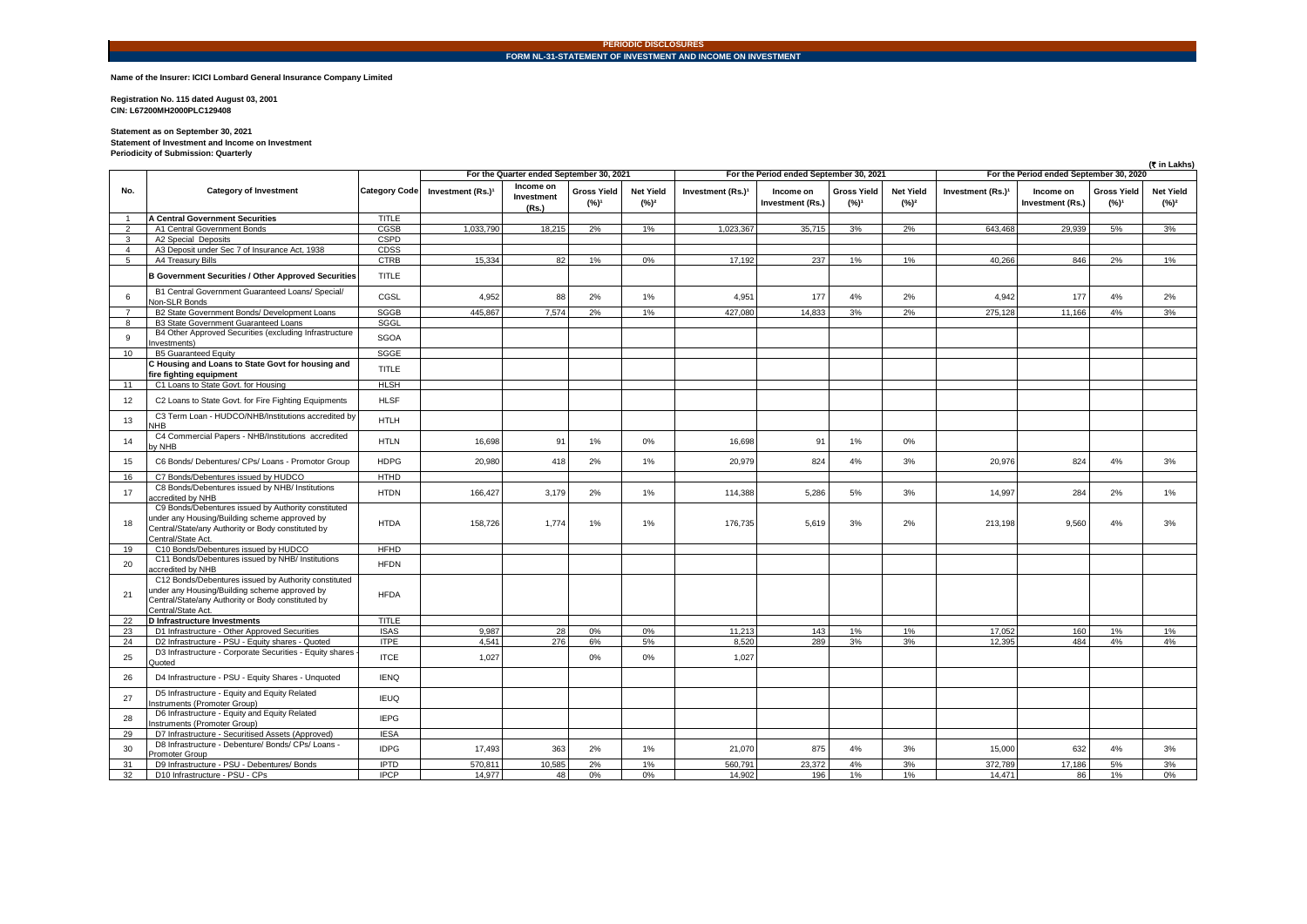## **PERIODIC DISCLOSURES FORM NL-31-STATEMENT OF INVESTMENT AND INCOME ON INVESTMENT**

## **Name of the Insurer: ICICI Lombard General Insurance Company Limited**

**Registration No. 115 dated August 03, 2001 CIN: L67200MH2000PLC129408** 

**Statement as on September 30, 2021 Statement of Investment and Income on Investment Periodicity of Submission: Quarterly**

|                | (₹ in Lakhs)                                                                                                                                                                      |               |                                          |                                  |                                        |                             |                               |                                         |                               |                             |                                         |                                      |                                        |                             |  |
|----------------|-----------------------------------------------------------------------------------------------------------------------------------------------------------------------------------|---------------|------------------------------------------|----------------------------------|----------------------------------------|-----------------------------|-------------------------------|-----------------------------------------|-------------------------------|-----------------------------|-----------------------------------------|--------------------------------------|----------------------------------------|-----------------------------|--|
|                |                                                                                                                                                                                   |               | For the Quarter ended September 30, 2021 |                                  |                                        |                             |                               | For the Period ended September 30, 2021 |                               |                             | For the Period ended September 30, 2020 |                                      |                                        |                             |  |
| No.            | <b>Category of Investment</b>                                                                                                                                                     | Category Code | Investment (Rs.) <sup>1</sup>            | Income on<br>Investment<br>(Rs.) | <b>Gross Yield</b><br>(%) <sup>1</sup> | <b>Net Yield</b><br>$(%)^2$ | Investment (Rs.) <sup>1</sup> | Income on<br>Investment (Rs.)           | <b>Gross Yield</b><br>$(%)^1$ | <b>Net Yield</b><br>$(%)^2$ | Investment (Rs.) <sup>1</sup>           | Income on<br><b>Investment (Rs.)</b> | <b>Gross Yield</b><br>(%) <sup>1</sup> | <b>Net Yield</b><br>$(%)^2$ |  |
| $\overline{1}$ | A Central Government Securities                                                                                                                                                   | <b>TITLE</b>  |                                          |                                  |                                        |                             |                               |                                         |                               |                             |                                         |                                      |                                        |                             |  |
| $\overline{2}$ | A1 Central Government Bonds                                                                                                                                                       | CGSB          | 1.033.790                                | 18.215                           | 2%                                     | 1%                          | 1.023.367                     | 35,715                                  | 3%                            | 2%                          | 643.468                                 | 29.939                               | 5%                                     | 3%                          |  |
| $\mathbf{3}$   | A2 Special Deposits                                                                                                                                                               | <b>CSPD</b>   |                                          |                                  |                                        |                             |                               |                                         |                               |                             |                                         |                                      |                                        |                             |  |
| $\overline{4}$ | A3 Deposit under Sec 7 of Insurance Act, 1938                                                                                                                                     | CDSS          |                                          |                                  |                                        |                             |                               |                                         |                               |                             |                                         |                                      |                                        |                             |  |
| 5              | A4 Treasury Bills                                                                                                                                                                 | <b>CTRB</b>   | 15.334                                   | 82                               | 1%                                     | 0%                          | 17.192                        | 237                                     | 1%                            | 1%                          | 40.266                                  | 846                                  | 2%                                     | 1%                          |  |
|                | <b>B Government Securities / Other Approved Securities</b>                                                                                                                        | <b>TITLE</b>  |                                          |                                  |                                        |                             |                               |                                         |                               |                             |                                         |                                      |                                        |                             |  |
| 6              | B1 Central Government Guaranteed Loans/ Special/<br>Non-SLR Bonds                                                                                                                 | CGSL          | 4,952                                    | 88                               | 2%                                     | 1%                          | 4,951                         | 177                                     | 4%                            | 2%                          | 4,942                                   | 177                                  | 4%                                     | 2%                          |  |
| $\overline{7}$ | B2 State Government Bonds/ Development Loans                                                                                                                                      | <b>SGGB</b>   | 445.867                                  | 7,574                            | 2%                                     | 1%                          | 427,080                       | 14,833                                  | 3%                            | 2%                          | 275.128                                 | 11,166                               | 4%                                     | 3%                          |  |
| 8              | B3 State Government Guaranteed Loans                                                                                                                                              | SGGL          |                                          |                                  |                                        |                             |                               |                                         |                               |                             |                                         |                                      |                                        |                             |  |
| 9              | B4 Other Approved Securities (excluding Infrastructure<br>nvestments)                                                                                                             | <b>SGOA</b>   |                                          |                                  |                                        |                             |                               |                                         |                               |                             |                                         |                                      |                                        |                             |  |
| 10             | <b>B5 Guaranteed Equity</b>                                                                                                                                                       | SGGE          |                                          |                                  |                                        |                             |                               |                                         |                               |                             |                                         |                                      |                                        |                             |  |
|                | C Housing and Loans to State Govt for housing and<br>ire fighting equipment                                                                                                       | <b>TITLE</b>  |                                          |                                  |                                        |                             |                               |                                         |                               |                             |                                         |                                      |                                        |                             |  |
| 11             | C1 Loans to State Govt. for Housing                                                                                                                                               | <b>HLSH</b>   |                                          |                                  |                                        |                             |                               |                                         |                               |                             |                                         |                                      |                                        |                             |  |
| 12             | C2 Loans to State Govt. for Fire Fighting Equipments                                                                                                                              | <b>HLSF</b>   |                                          |                                  |                                        |                             |                               |                                         |                               |                             |                                         |                                      |                                        |                             |  |
| 13             | C3 Term Loan - HUDCO/NHB/Institutions accredited by<br><b>HB</b>                                                                                                                  | <b>HTLH</b>   |                                          |                                  |                                        |                             |                               |                                         |                               |                             |                                         |                                      |                                        |                             |  |
| 14             | C4 Commercial Papers - NHB/Institutions accredited<br>y NHB                                                                                                                       | <b>HTLN</b>   | 16,698                                   | 91                               | 1%                                     | 0%                          | 16,698                        | 91                                      | 1%                            | 0%                          |                                         |                                      |                                        |                             |  |
| 15             | C6 Bonds/ Debentures/ CPs/ Loans - Promotor Group                                                                                                                                 | <b>HDPG</b>   | 20,980                                   | 418                              | 2%                                     | $1\%$                       | 20,979                        | 824                                     | 4%                            | 3%                          | 20,976                                  | 824                                  | 4%                                     | 3%                          |  |
| 16             | C7 Bonds/Debentures issued by HUDCO                                                                                                                                               | <b>HTHD</b>   |                                          |                                  |                                        |                             |                               |                                         |                               |                             |                                         |                                      |                                        |                             |  |
| 17             | C8 Bonds/Debentures issued by NHB/ Institutions<br>ccredited by NHB                                                                                                               | <b>HTDN</b>   | 166,427                                  | 3,179                            | 2%                                     | 1%                          | 114,388                       | 5,286                                   | 5%                            | 3%                          | 14,997                                  | 284                                  | 2%                                     | 1%                          |  |
| 18             | C9 Bonds/Debentures issued by Authority constituted<br>under any Housing/Building scheme approved by<br>Central/State/any Authority or Body constituted by<br>Central/State Act.  | <b>HTDA</b>   | 158,726                                  | 1,774                            | 1%                                     | 1%                          | 176,735                       | 5,619                                   | 3%                            | 2%                          | 213,198                                 | 9,560                                | 4%                                     | 3%                          |  |
| 19             | C10 Bonds/Debentures issued by HUDCO                                                                                                                                              | <b>HFHD</b>   |                                          |                                  |                                        |                             |                               |                                         |                               |                             |                                         |                                      |                                        |                             |  |
| 20             | C11 Bonds/Debentures issued by NHB/ Institutions<br>accredited by NHB                                                                                                             | <b>HFDN</b>   |                                          |                                  |                                        |                             |                               |                                         |                               |                             |                                         |                                      |                                        |                             |  |
| 21             | C12 Bonds/Debentures issued by Authority constituted<br>under any Housing/Building scheme approved by<br>Central/State/any Authority or Body constituted by<br>Central/State Act. | <b>HFDA</b>   |                                          |                                  |                                        |                             |                               |                                         |                               |                             |                                         |                                      |                                        |                             |  |
| 22             | D Infrastructure Investments                                                                                                                                                      | <b>TITLE</b>  |                                          |                                  |                                        |                             |                               |                                         |                               |                             |                                         |                                      |                                        |                             |  |
| 23             | D1 Infrastructure - Other Approved Securities                                                                                                                                     | <b>ISAS</b>   | 9.987                                    | 28                               | 0%                                     | 0%                          | 11.213                        | 143                                     | 1%                            | 1%                          | 17.052                                  | 160                                  | 1%                                     | 1%                          |  |
| 24             | D2 Infrastructure - PSU - Equity shares - Quoted                                                                                                                                  | <b>ITPE</b>   | 4.541                                    | 276                              | 6%                                     | 5%                          | 8.520                         | 289                                     | 3%                            | 3%                          | 12.395                                  | 484                                  | 4%                                     | 4%                          |  |
| 25             | D3 Infrastructure - Corporate Securities - Equity shares<br>Quoted                                                                                                                | <b>ITCE</b>   | 1.027                                    |                                  | 0%                                     | 0%                          | 1,027                         |                                         |                               |                             |                                         |                                      |                                        |                             |  |
| 26             | D4 Infrastructure - PSU - Equity Shares - Unquoted                                                                                                                                | <b>IENQ</b>   |                                          |                                  |                                        |                             |                               |                                         |                               |                             |                                         |                                      |                                        |                             |  |
| 27             | D5 Infrastructure - Equity and Equity Related<br>nstruments (Promoter Group)                                                                                                      | <b>IEUQ</b>   |                                          |                                  |                                        |                             |                               |                                         |                               |                             |                                         |                                      |                                        |                             |  |
| 28             | D6 Infrastructure - Equity and Equity Related<br>nstruments (Promoter Group)                                                                                                      | <b>IEPG</b>   |                                          |                                  |                                        |                             |                               |                                         |                               |                             |                                         |                                      |                                        |                             |  |
| 29             | D7 Infrastructure - Securitised Assets (Approved)                                                                                                                                 | <b>IESA</b>   |                                          |                                  |                                        |                             |                               |                                         |                               |                             |                                         |                                      |                                        |                             |  |
| 30             | D8 Infrastructure - Debenture/ Bonds/ CPs/ Loans -<br>Promoter Group                                                                                                              | <b>IDPG</b>   | 17,493                                   | 363                              | 2%                                     | 1%                          | 21,070                        | 875                                     | 4%                            | 3%                          | 15,000                                  | 632                                  | 4%                                     | 3%                          |  |
| 31             | D9 Infrastructure - PSU - Debentures/ Bonds                                                                                                                                       | <b>IPTD</b>   | 570.811                                  | 10,585                           | 2%                                     | 1%                          | 560.791                       | 23.372                                  | 4%                            | 3%                          | 372.789                                 | 17.186                               | 5%                                     | 3%                          |  |
| 32             | D10 Infrastructure - PSU - CPs                                                                                                                                                    | <b>IPCP</b>   | 14.977                                   | 48                               | 0%                                     | 0%                          | 14.902                        | 196                                     | 1%                            | 1%                          | 14.471                                  | 86                                   | 1%                                     | 0%                          |  |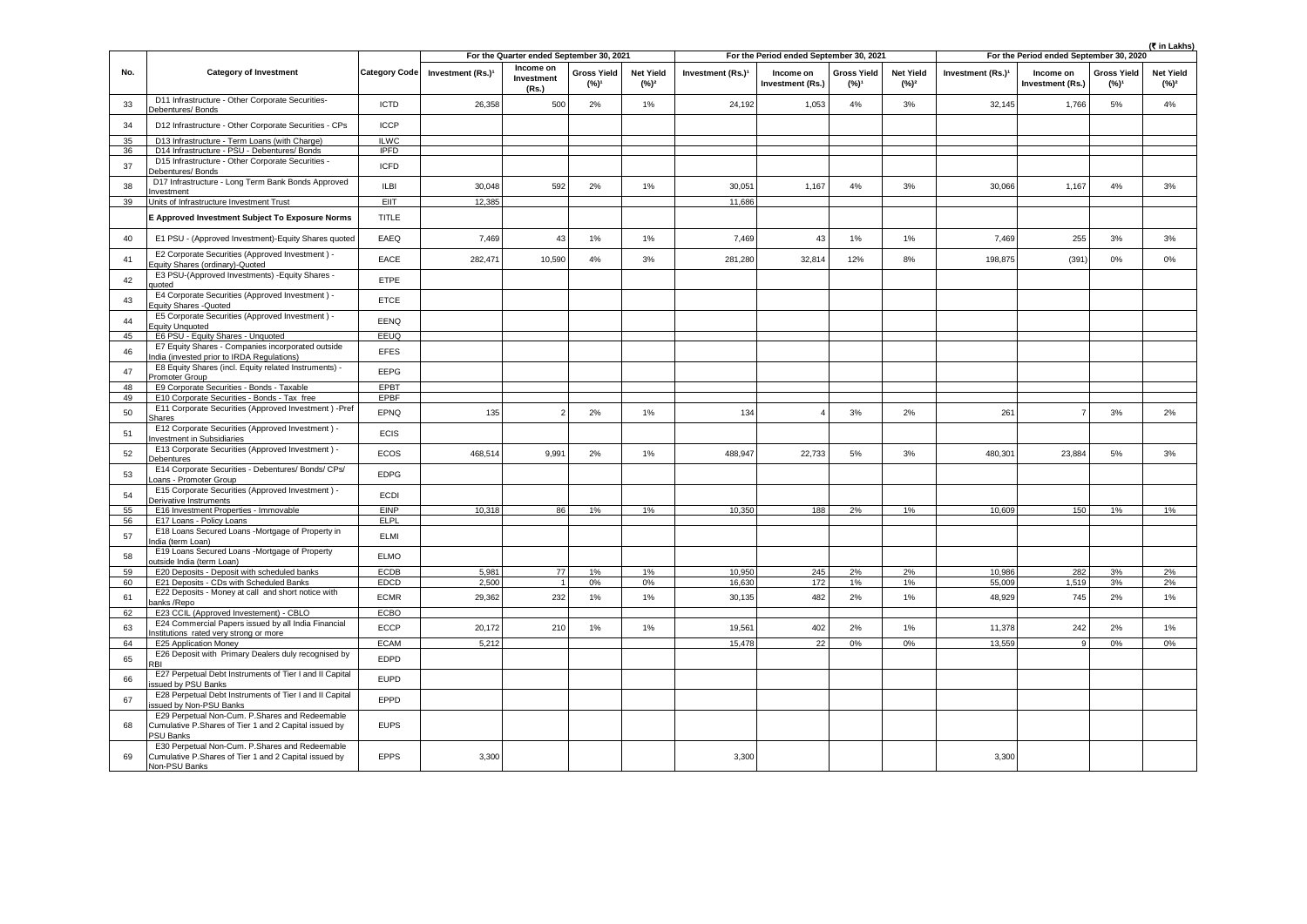|          |                                                                                                                             |                      |                                          |                                  |                                        |                                         |                               |                                      |                                        |                                         | (₹ in Lakhs)                  |                                      |                                        |                             |
|----------|-----------------------------------------------------------------------------------------------------------------------------|----------------------|------------------------------------------|----------------------------------|----------------------------------------|-----------------------------------------|-------------------------------|--------------------------------------|----------------------------------------|-----------------------------------------|-------------------------------|--------------------------------------|----------------------------------------|-----------------------------|
|          |                                                                                                                             |                      | For the Quarter ended September 30, 2021 |                                  |                                        | For the Period ended September 30, 2021 |                               |                                      |                                        | For the Period ended September 30, 2020 |                               |                                      |                                        |                             |
| No.      | <b>Category of Investment</b>                                                                                               | <b>Category Code</b> | Investment (Rs.)1                        | Income on<br>Investment<br>(Rs.) | <b>Gross Yield</b><br>(%) <sup>1</sup> | <b>Net Yield</b><br>(%) <sup>2</sup>    | Investment (Rs.) <sup>1</sup> | Income on<br><b>Investment (Rs.)</b> | <b>Gross Yield</b><br>(%) <sup>1</sup> | <b>Net Yield</b><br>$(%)^2$             | Investment (Rs.) <sup>1</sup> | Income on<br><b>Investment (Rs.)</b> | <b>Gross Yield</b><br>(%) <sup>1</sup> | <b>Net Yield</b><br>$(%)^2$ |
| 33       | D11 Infrastructure - Other Corporate Securities-<br>Debentures/Bonds                                                        | <b>ICTD</b>          | 26,358                                   | 500                              | 2%                                     | 1%                                      | 24.192                        | 1,053                                | 4%                                     | 3%                                      | 32.145                        | 1,766                                | 5%                                     | 4%                          |
| 34       | D12 Infrastructure - Other Corporate Securities - CPs                                                                       | <b>ICCP</b>          |                                          |                                  |                                        |                                         |                               |                                      |                                        |                                         |                               |                                      |                                        |                             |
| 35       | D13 Infrastructure - Term Loans (with Charge)                                                                               | <b>ILWC</b>          |                                          |                                  |                                        |                                         |                               |                                      |                                        |                                         |                               |                                      |                                        |                             |
| 36       | D14 Infrastructure - PSU - Debentures/ Bonds                                                                                | <b>IPFD</b>          |                                          |                                  |                                        |                                         |                               |                                      |                                        |                                         |                               |                                      |                                        |                             |
| 37       | D15 Infrastructure - Other Corporate Securities<br>Debentures/ Bonds                                                        | <b>ICFD</b>          |                                          |                                  |                                        |                                         |                               |                                      |                                        |                                         |                               |                                      |                                        |                             |
| 38       | D17 Infrastructure - Long Term Bank Bonds Approved<br>Investment                                                            | <b>ILBI</b>          | 30.048                                   | 592                              | 2%                                     | 1%                                      | 30.051                        | 1,167                                | 4%                                     | 3%                                      | 30,066                        | 1.167                                | 4%                                     | 3%                          |
| 39       | Units of Infrastructure Investment Trust                                                                                    | EIIT                 | 12,385                                   |                                  |                                        |                                         | 11,686                        |                                      |                                        |                                         |                               |                                      |                                        |                             |
|          | E Approved Investment Subject To Exposure Norms                                                                             | <b>TITLE</b>         |                                          |                                  |                                        |                                         |                               |                                      |                                        |                                         |                               |                                      |                                        |                             |
| 40       | E1 PSU - (Approved Investment)-Equity Shares quoted                                                                         | EAEQ                 | 7,469                                    | 43                               | 1%                                     | 1%                                      | 7,469                         | 43                                   | 1%                                     | $1\%$                                   | 7,469                         | 255                                  | 3%                                     | 3%                          |
| 41       | E2 Corporate Securities (Approved Investment) -<br>quity Shares (ordinary)-Quoted                                           | EACE                 | 282,471                                  | 10,590                           | 4%                                     | 3%                                      | 281,280                       | 32,814                               | 12%                                    | 8%                                      | 198,875                       | (391)                                | 0%                                     | 0%                          |
| 42       | E3 PSU-(Approved Investments) - Equity Shares -<br>uoted                                                                    | ETPE                 |                                          |                                  |                                        |                                         |                               |                                      |                                        |                                         |                               |                                      |                                        |                             |
| 43       | E4 Corporate Securities (Approved Investment) -<br>Equity Shares -Quoted                                                    | <b>ETCE</b>          |                                          |                                  |                                        |                                         |                               |                                      |                                        |                                         |                               |                                      |                                        |                             |
| 44       | E5 Corporate Securities (Approved Investment) -<br>Eauity Unauoted                                                          | EENQ                 |                                          |                                  |                                        |                                         |                               |                                      |                                        |                                         |                               |                                      |                                        |                             |
| 45       | E6 PSU - Equity Shares - Unquoted                                                                                           | EEUQ                 |                                          |                                  |                                        |                                         |                               |                                      |                                        |                                         |                               |                                      |                                        |                             |
| 46       | E7 Equity Shares - Companies incorporated outside<br>ndia (invested prior to IRDA Regulations)                              | <b>EFES</b>          |                                          |                                  |                                        |                                         |                               |                                      |                                        |                                         |                               |                                      |                                        |                             |
| 47       | E8 Equity Shares (incl. Equity related Instruments) -<br>Promoter Group                                                     | EEPG                 |                                          |                                  |                                        |                                         |                               |                                      |                                        |                                         |                               |                                      |                                        |                             |
| 48       | E9 Corporate Securities - Bonds - Taxable                                                                                   | EPBT                 |                                          |                                  |                                        |                                         |                               |                                      |                                        |                                         |                               |                                      |                                        |                             |
| 49       | E10 Corporate Securities - Bonds - Tax free                                                                                 | EPBF                 |                                          |                                  |                                        |                                         |                               |                                      |                                        |                                         |                               |                                      |                                        |                             |
| 50       | E11 Corporate Securities (Approved Investment) -Pref<br>hares                                                               | EPNQ                 | 135                                      |                                  | 2%                                     | 1%                                      | 134                           |                                      | 3%                                     | 2%                                      | 261                           |                                      | 3%                                     | 2%                          |
| 51       | E12 Corporate Securities (Approved Investment) -<br>nvestment in Subsidiaries                                               | <b>ECIS</b>          |                                          |                                  |                                        |                                         |                               |                                      |                                        |                                         |                               |                                      |                                        |                             |
| 52       | E13 Corporate Securities (Approved Investment) -<br>Debentures                                                              | ECOS                 | 468,514                                  | 9,991                            | 2%                                     | 1%                                      | 488,947                       | 22,733                               | 5%                                     | 3%                                      | 480,301                       | 23,884                               | $5\%$                                  | 3%                          |
| 53       | E14 Corporate Securities - Debentures/ Bonds/ CPs/<br>oans - Promoter Group                                                 | <b>EDPG</b>          |                                          |                                  |                                        |                                         |                               |                                      |                                        |                                         |                               |                                      |                                        |                             |
| 54       | E15 Corporate Securities (Approved Investment) -<br>Derivative Instruments                                                  | ECDI                 |                                          |                                  |                                        |                                         |                               |                                      |                                        |                                         |                               |                                      |                                        |                             |
| 55       | E16 Investment Properties - Immovable                                                                                       | <b>EINP</b>          | 10.318                                   | 86                               | 1%                                     | 1%                                      | 10.350                        | 188                                  | 2%                                     | 1%                                      | 10.609                        | 150                                  | 1%                                     | 1%                          |
| 56       | E17 Loans - Policy Loans                                                                                                    | <b>ELPL</b>          |                                          |                                  |                                        |                                         |                               |                                      |                                        |                                         |                               |                                      |                                        |                             |
| 57       | E18 Loans Secured Loans -Mortgage of Property in<br>ndia (term Loan)                                                        | ELMI                 |                                          |                                  |                                        |                                         |                               |                                      |                                        |                                         |                               |                                      |                                        |                             |
| 58       | E19 Loans Secured Loans -Mortgage of Property<br>outside India (term Loan)                                                  | <b>ELMO</b>          |                                          |                                  |                                        |                                         |                               |                                      |                                        |                                         |                               |                                      |                                        |                             |
| 59       | E20 Deposits - Deposit with scheduled banks                                                                                 | <b>ECDB</b>          | 5,981                                    | 77                               | 1%                                     | 1%                                      | 10,950                        | 245                                  | 2%                                     | 2%                                      | 10,986                        | 282                                  | 3%                                     | 2%                          |
| 60<br>61 | E21 Deposits - CDs with Scheduled Banks<br>E22 Deposits - Money at call and short notice with                               | EDCD<br><b>ECMR</b>  | 2,500<br>29,362                          | $\overline{1}$<br>232            | 0%<br>1%                               | $0\%$<br>1%                             | 16,630<br>30,135              | 172<br>482                           | 1%<br>2%                               | 1%<br>1%                                | 55,009<br>48,929              | 1,519<br>745                         | 3%<br>2%                               | 2%<br>1%                    |
| 62       | anks /Repo<br>E23 CCIL (Approved Investement) - CBLO                                                                        | ECBO                 |                                          |                                  |                                        |                                         |                               |                                      |                                        |                                         |                               |                                      |                                        |                             |
| 63       | E24 Commercial Papers issued by all India Financial<br>nstitutions rated very strong or more                                | ECCP                 | 20,172                                   | 210                              | $1\%$                                  | 1%                                      | 19,561                        | 402                                  | 2%                                     | $1\%$                                   | 11,378                        | 242                                  | 2%                                     | $1\%$                       |
| 64       | E25 Application Money                                                                                                       | <b>ECAM</b>          | 5.212                                    |                                  |                                        |                                         | 15,478                        | 22                                   | 0%                                     | 0%                                      | 13,559                        | $\mathsf{Q}$                         | 0%                                     | 0%                          |
| 65       | E26 Deposit with Primary Dealers duly recognised by<br>R                                                                    | EDPD                 |                                          |                                  |                                        |                                         |                               |                                      |                                        |                                         |                               |                                      |                                        |                             |
| 66       | E27 Perpetual Debt Instruments of Tier I and II Capital<br>ssued by PSU Banks                                               | <b>EUPD</b>          |                                          |                                  |                                        |                                         |                               |                                      |                                        |                                         |                               |                                      |                                        |                             |
| 67       | E28 Perpetual Debt Instruments of Tier I and II Capital<br>ssued by Non-PSU Banks                                           | EPPD                 |                                          |                                  |                                        |                                         |                               |                                      |                                        |                                         |                               |                                      |                                        |                             |
| 68       | E29 Perpetual Non-Cum. P.Shares and Redeemable<br>Cumulative P.Shares of Tier 1 and 2 Capital issued by<br><b>PSU Banks</b> | <b>EUPS</b>          |                                          |                                  |                                        |                                         |                               |                                      |                                        |                                         |                               |                                      |                                        |                             |
| 69       | E30 Perpetual Non-Cum. P.Shares and Redeemable<br>Cumulative P.Shares of Tier 1 and 2 Capital issued by<br>Non-PSU Banks    | <b>EPPS</b>          | 3,300                                    |                                  |                                        |                                         | 3,300                         |                                      |                                        |                                         | 3,300                         |                                      |                                        |                             |